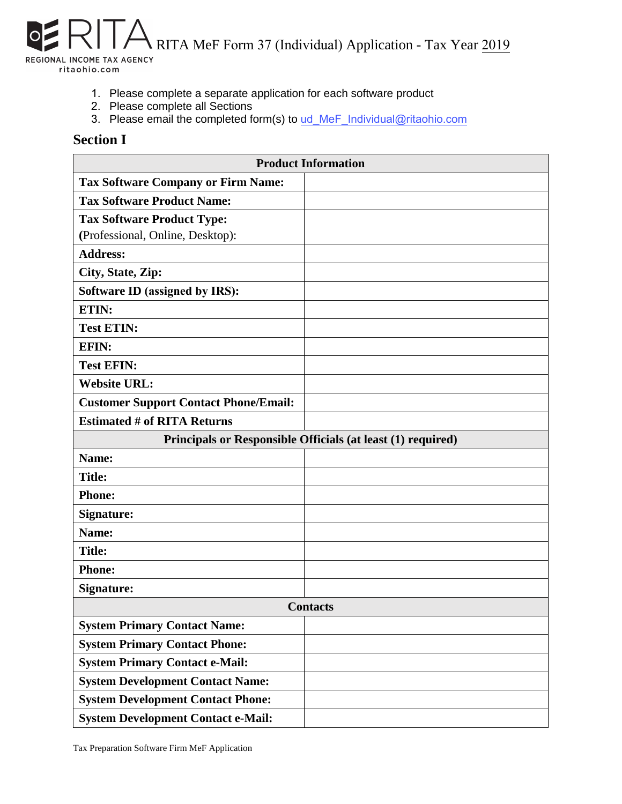RITA MeF Form 37 (Individual) Application - Tax Year 2019 REGIONAL INCOME TAX AGENCY ritaohio.com

- 1. Please complete a separate application for each software product
- 2. Please complete all Sections
- 3. Please email the completed form(s) to ud\_MeF\_Individual@ritaohio.com

## **Section I**

| <b>Product Information</b>                                  |  |  |  |  |
|-------------------------------------------------------------|--|--|--|--|
| <b>Tax Software Company or Firm Name:</b>                   |  |  |  |  |
| <b>Tax Software Product Name:</b>                           |  |  |  |  |
| <b>Tax Software Product Type:</b>                           |  |  |  |  |
| (Professional, Online, Desktop):                            |  |  |  |  |
| <b>Address:</b>                                             |  |  |  |  |
| City, State, Zip:                                           |  |  |  |  |
| Software ID (assigned by IRS):                              |  |  |  |  |
| ETIN:                                                       |  |  |  |  |
| <b>Test ETIN:</b>                                           |  |  |  |  |
| <b>EFIN:</b>                                                |  |  |  |  |
| <b>Test EFIN:</b>                                           |  |  |  |  |
| <b>Website URL:</b>                                         |  |  |  |  |
| <b>Customer Support Contact Phone/Email:</b>                |  |  |  |  |
| <b>Estimated # of RITA Returns</b>                          |  |  |  |  |
| Principals or Responsible Officials (at least (1) required) |  |  |  |  |
| Name:                                                       |  |  |  |  |
| <b>Title:</b>                                               |  |  |  |  |
| <b>Phone:</b>                                               |  |  |  |  |
| <b>Signature:</b>                                           |  |  |  |  |
| Name:                                                       |  |  |  |  |
| <b>Title:</b>                                               |  |  |  |  |
| <b>Phone:</b>                                               |  |  |  |  |
| <b>Signature:</b>                                           |  |  |  |  |
| <b>Contacts</b>                                             |  |  |  |  |
| <b>System Primary Contact Name:</b>                         |  |  |  |  |
| <b>System Primary Contact Phone:</b>                        |  |  |  |  |
| <b>System Primary Contact e-Mail:</b>                       |  |  |  |  |
| <b>System Development Contact Name:</b>                     |  |  |  |  |
| <b>System Development Contact Phone:</b>                    |  |  |  |  |
| <b>System Development Contact e-Mail:</b>                   |  |  |  |  |

Tax Preparation Software Firm MeF Application